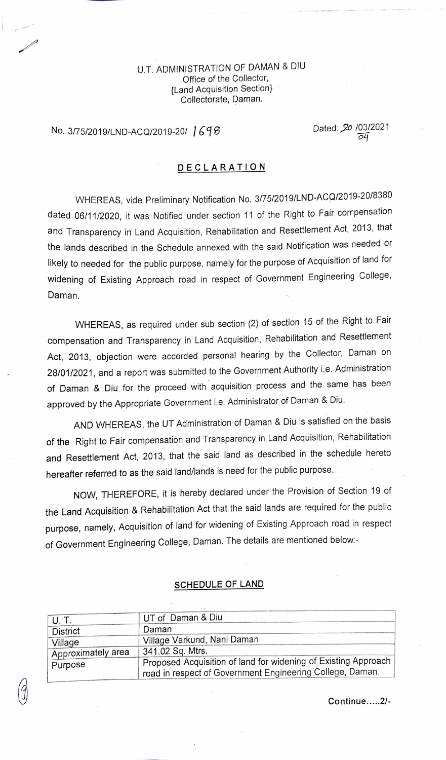U.T. ADMINISTRATION OF DAMAN & DIU Office of the Collector, {Land Acquisition Section} Collectorate, Daman.

## No. 3/75/2019/LND-ACQ/2019-20/  $1698$  Dated: 20  $\frac{103}{24}$

## DECLARATION

WHEREAS, vide Preliminary Notification No. 3/75/2019/LND-ACQ/2019-20/8380 dated 06/11/2020, it was Notified under section 11 of the Right to Fair compensation and Transparency in Land Acquisition, Rehabilitation and Resettlement Act, 2013, that the lands described in the Schedule annexed with the said Notification was needed or Ikely to needed for the public purpose, namely for the purpose of Acquisition of land for widening of Existing Approach road in respect of Government Engineering College, Daman.

WHEREAS, as required under sub section (2) of section 15 of the Right to Fair compensation and Transparency in Land Acquisition, Rehabilitation and Resettlement Act, 2013, objection were accorded personal hearing by the Collector, Daman on 28/01/2021, and a report was submitted to the Government Authority i.e. Administration of Daman & Diu for the proceed with acquisition process and the same has been approved by the Appropriate Government i.e. Administrator of Daman & Diu.

AND WHEREAS, the UT Administration of Daman & Diu is satisfied on the basis of the Right to Fair compensation and Transparency in Land Acquisition, Rehabilitation and Resettlement Act, 2013, that the said land as described in the schedule hereto hereafter referred to as the said land/lands is need for the public purpose.

NOW, THEREFORE, it is hereby declared under the Provision of Section 19 of the Land Acquisition & Rehabilitation Act that the said lands are required for the public purpose, namely, Acquisition of land for widening of Existing Approach road in respect of Government Engineering College, Daman. The details are mentioned below

## SCHEDULE OF LAND

| U.T.               | UT of Daman & Diu                                              |  |  |
|--------------------|----------------------------------------------------------------|--|--|
| <b>District</b>    | Daman                                                          |  |  |
| Village            | Village Varkund, Nani Daman                                    |  |  |
| Approximately area | 341.02 Sq. Mtrs.                                               |  |  |
| Purpose            | Proposed Acquisition of land for widening of Existing Approach |  |  |
|                    | road in respect of Government Engineering College, Daman.      |  |  |
|                    |                                                                |  |  |

Continue....2/